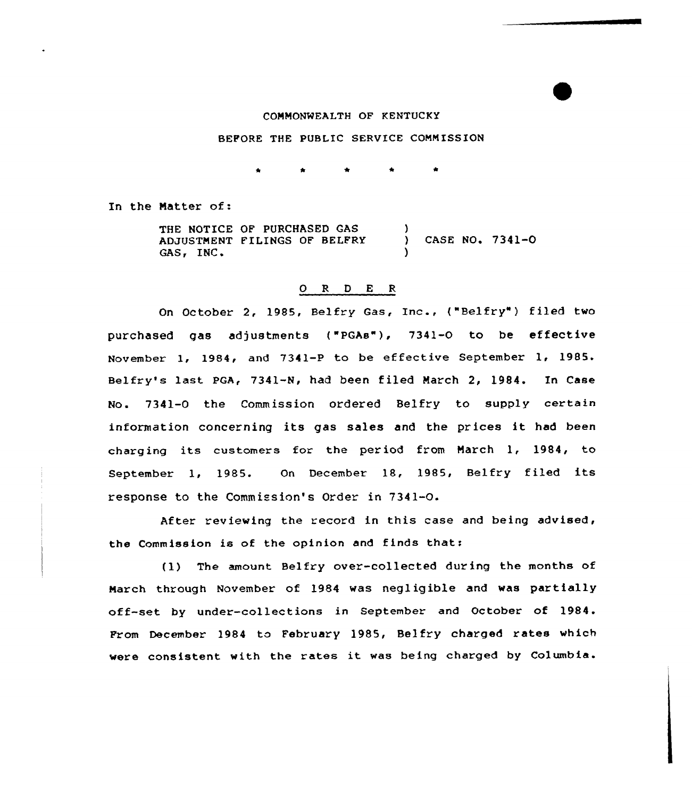## CONNONMEALTH OF KENTUCKY

## BEFORE THE PUBLIC SERVICE COMMISSION

In the Natter of:

THE NOTICE OF PURCHASED GAS ADJUSTMENT FILINGS OF BELFRY (2005) CASE NO. 7341-0<br>GAS, INC. )

## 0 <sup>R</sup> <sup>D</sup> E <sup>R</sup>

On October 2, 1985, Belfry Gas, Inc., ("Belfry") filed two purchased gas adjustments ("PGAe"), 7341-0 to be effective November 1, 1984, and 7341-P to be effective September 1, 1985. Belfry's last PGA, 7341-N, had been filed March 2, 1984. In Case No. 7341-0 the Commission ordered Belfry to supply certain information concerning its gas sales and the prices it had been charging its customers for the period from Narch 1, 1984, to September 1, 1985. On December 18, 1985, Belfry filed its response to the Commission's Order in 7341-0.

After reviewing the record in this case and being advised, the Commission is of the opinion and finds that:

(1) The amount Belfry over-collected during the months of Narch through November of 1984 was negligible and was partially off-set by under-collections in September and October of 1984. From December 1984 to February 1985, Belfry charged rates which were consistent with the rates it was being charged by Columbia.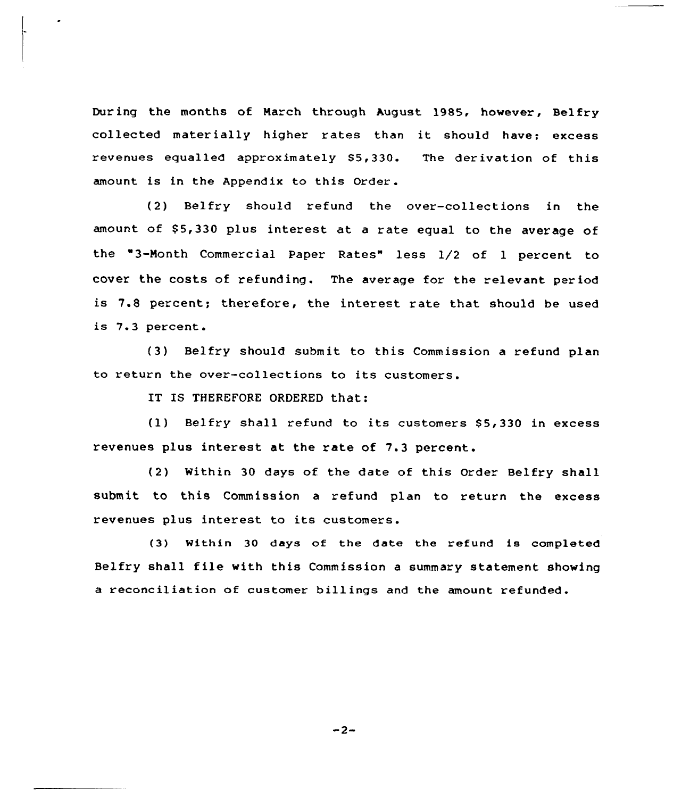During the months of March through August 1985, however, Belfry collected mater ially higher rates than it should have; excess revenues equalled approximately 85,330. The derivation of this amount is in the Appendix to this Order.

(2) Belfry should refund the over-collections in the amount of \$5,330 plus interest at a rate equal to the average of the "3-Month Commercial Paper Rates" less 1/2 of 1 percent to cover the costs of refunding. The average for the relevant period is 7.8 percent; therefore, the interest rate that should be used is 7.3 percent.

(3) Belfry should submit to this Commission a refund plan to return the over-collections to its customers.

IT IS THEREFORE ORDERED that:

(1) Belfry shall refund to its customers 85,330 in excess revenues plus interest at the rate of 7.3 percent.

(2) Within 30 days of the date of this Order Belfry shall submit to this Commission a refund plan to return the excess revenues plus interest to its customers.

(3) Within 30 days of the date the refund is completed Belfry shall file with this Commission <sup>a</sup> summary statement showing a reconciliation of customer billings and the amount refunded.

 $-2-$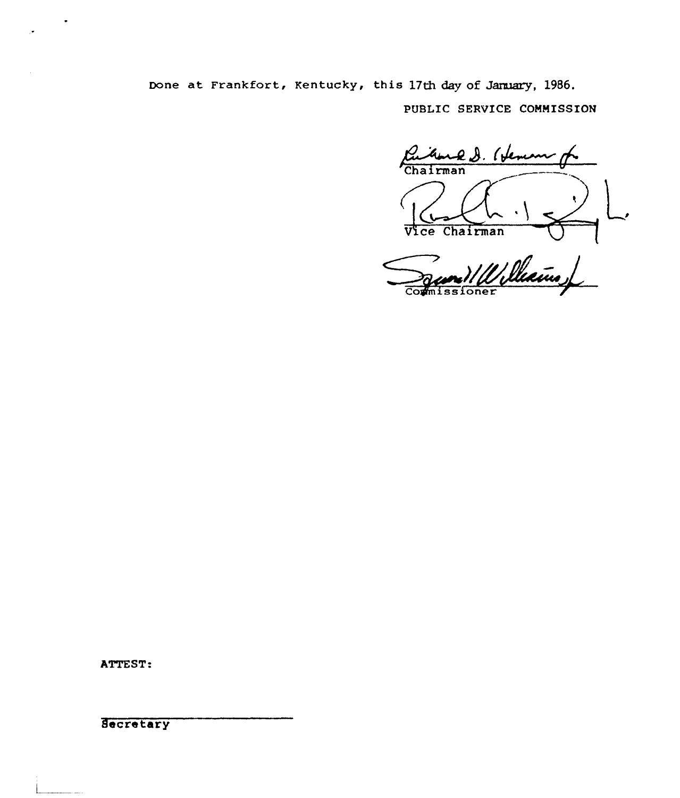Done at Frankfort, Kentucky, this 17th day of January, 1986.

PUBLIC SERVICE COMNISSION

Cubine g. (Jeman Vice Chairman

Server Williams

ATTEST:

**Secretary**